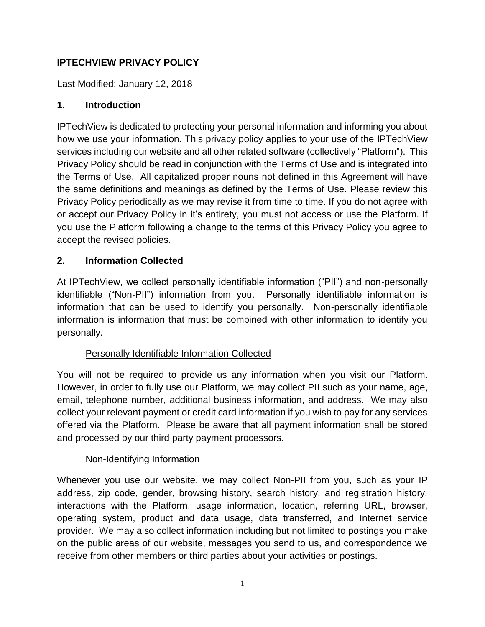# **IPTECHVIEW PRIVACY POLICY**

Last Modified: January 12, 2018

#### **1. Introduction**

IPTechView is dedicated to protecting your personal information and informing you about how we use your information. This privacy policy applies to your use of the IPTechView services including our website and all other related software (collectively "Platform"). This Privacy Policy should be read in conjunction with the Terms of Use and is integrated into the Terms of Use. All capitalized proper nouns not defined in this Agreement will have the same definitions and meanings as defined by the Terms of Use. Please review this Privacy Policy periodically as we may revise it from time to time. If you do not agree with or accept our Privacy Policy in it's entirety, you must not access or use the Platform. If you use the Platform following a change to the terms of this Privacy Policy you agree to accept the revised policies.

#### **2. Information Collected**

At IPTechView, we collect personally identifiable information ("PII") and non-personally identifiable ("Non-PII") information from you. Personally identifiable information is information that can be used to identify you personally. Non-personally identifiable information is information that must be combined with other information to identify you personally.

## Personally Identifiable Information Collected

You will not be required to provide us any information when you visit our Platform. However, in order to fully use our Platform, we may collect PII such as your name, age, email, telephone number, additional business information, and address. We may also collect your relevant payment or credit card information if you wish to pay for any services offered via the Platform. Please be aware that all payment information shall be stored and processed by our third party payment processors.

#### Non-Identifying Information

Whenever you use our website, we may collect Non-PII from you, such as your IP address, zip code, gender, browsing history, search history, and registration history, interactions with the Platform, usage information, location, referring URL, browser, operating system, product and data usage, data transferred, and Internet service provider. We may also collect information including but not limited to postings you make on the public areas of our website, messages you send to us, and correspondence we receive from other members or third parties about your activities or postings.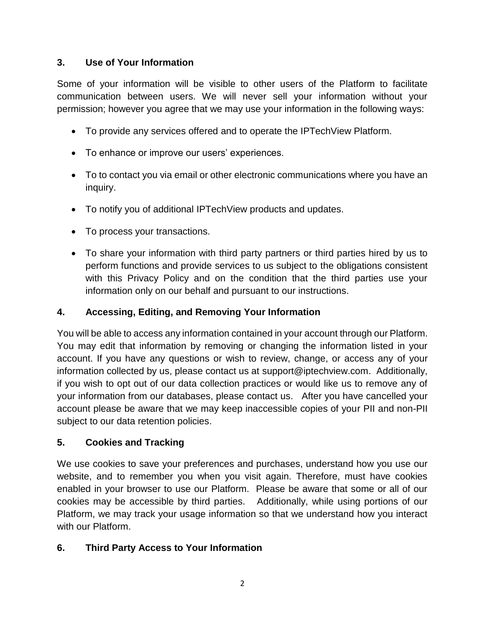#### **3. Use of Your Information**

Some of your information will be visible to other users of the Platform to facilitate communication between users. We will never sell your information without your permission; however you agree that we may use your information in the following ways:

- To provide any services offered and to operate the IPTechView Platform.
- To enhance or improve our users' experiences.
- To to contact you via email or other electronic communications where you have an inquiry.
- To notify you of additional IPTechView products and updates.
- To process your transactions.
- To share your information with third party partners or third parties hired by us to perform functions and provide services to us subject to the obligations consistent with this Privacy Policy and on the condition that the third parties use your information only on our behalf and pursuant to our instructions.

## **4. Accessing, Editing, and Removing Your Information**

You will be able to access any information contained in your account through our Platform. You may edit that information by removing or changing the information listed in your account. If you have any questions or wish to review, change, or access any of your information collected by us, please contact us at support@iptechview.com. Additionally, if you wish to opt out of our data collection practices or would like us to remove any of your information from our databases, please contact us. After you have cancelled your account please be aware that we may keep inaccessible copies of your PII and non-PII subject to our data retention policies.

## **5. Cookies and Tracking**

We use cookies to save your preferences and purchases, understand how you use our website, and to remember you when you visit again. Therefore, must have cookies enabled in your browser to use our Platform. Please be aware that some or all of our cookies may be accessible by third parties. Additionally, while using portions of our Platform, we may track your usage information so that we understand how you interact with our Platform.

## **6. Third Party Access to Your Information**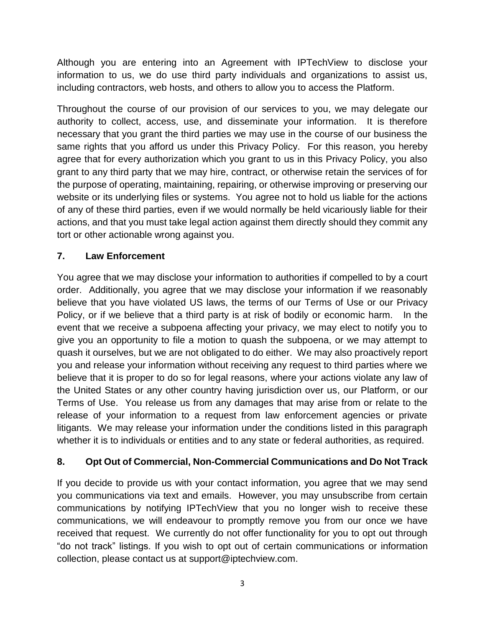Although you are entering into an Agreement with IPTechView to disclose your information to us, we do use third party individuals and organizations to assist us, including contractors, web hosts, and others to allow you to access the Platform.

Throughout the course of our provision of our services to you, we may delegate our authority to collect, access, use, and disseminate your information. It is therefore necessary that you grant the third parties we may use in the course of our business the same rights that you afford us under this Privacy Policy. For this reason, you hereby agree that for every authorization which you grant to us in this Privacy Policy, you also grant to any third party that we may hire, contract, or otherwise retain the services of for the purpose of operating, maintaining, repairing, or otherwise improving or preserving our website or its underlying files or systems. You agree not to hold us liable for the actions of any of these third parties, even if we would normally be held vicariously liable for their actions, and that you must take legal action against them directly should they commit any tort or other actionable wrong against you.

## **7. Law Enforcement**

You agree that we may disclose your information to authorities if compelled to by a court order. Additionally, you agree that we may disclose your information if we reasonably believe that you have violated US laws, the terms of our Terms of Use or our Privacy Policy, or if we believe that a third party is at risk of bodily or economic harm. In the event that we receive a subpoena affecting your privacy, we may elect to notify you to give you an opportunity to file a motion to quash the subpoena, or we may attempt to quash it ourselves, but we are not obligated to do either. We may also proactively report you and release your information without receiving any request to third parties where we believe that it is proper to do so for legal reasons, where your actions violate any law of the United States or any other country having jurisdiction over us, our Platform, or our Terms of Use. You release us from any damages that may arise from or relate to the release of your information to a request from law enforcement agencies or private litigants. We may release your information under the conditions listed in this paragraph whether it is to individuals or entities and to any state or federal authorities, as required.

## **8. Opt Out of Commercial, Non-Commercial Communications and Do Not Track**

If you decide to provide us with your contact information, you agree that we may send you communications via text and emails. However, you may unsubscribe from certain communications by notifying IPTechView that you no longer wish to receive these communications, we will endeavour to promptly remove you from our once we have received that request. We currently do not offer functionality for you to opt out through "do not track" listings. If you wish to opt out of certain communications or information collection, please contact us at support@iptechview.com.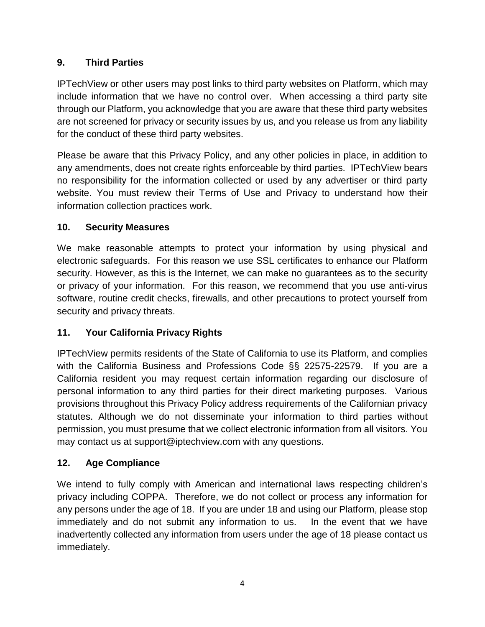# **9. Third Parties**

IPTechView or other users may post links to third party websites on Platform, which may include information that we have no control over. When accessing a third party site through our Platform, you acknowledge that you are aware that these third party websites are not screened for privacy or security issues by us, and you release us from any liability for the conduct of these third party websites.

Please be aware that this Privacy Policy, and any other policies in place, in addition to any amendments, does not create rights enforceable by third parties. IPTechView bears no responsibility for the information collected or used by any advertiser or third party website. You must review their Terms of Use and Privacy to understand how their information collection practices work.

## **10. Security Measures**

We make reasonable attempts to protect your information by using physical and electronic safeguards. For this reason we use SSL certificates to enhance our Platform security. However, as this is the Internet, we can make no guarantees as to the security or privacy of your information. For this reason, we recommend that you use anti-virus software, routine credit checks, firewalls, and other precautions to protect yourself from security and privacy threats.

# **11. Your California Privacy Rights**

IPTechView permits residents of the State of California to use its Platform, and complies with the California Business and Professions Code §§ 22575-22579. If you are a California resident you may request certain information regarding our disclosure of personal information to any third parties for their direct marketing purposes. Various provisions throughout this Privacy Policy address requirements of the Californian privacy statutes. Although we do not disseminate your information to third parties without permission, you must presume that we collect electronic information from all visitors. You may contact us at support@iptechview.com with any questions.

# **12. Age Compliance**

We intend to fully comply with American and international laws respecting children's privacy including COPPA. Therefore, we do not collect or process any information for any persons under the age of 18. If you are under 18 and using our Platform, please stop immediately and do not submit any information to us. In the event that we have inadvertently collected any information from users under the age of 18 please contact us immediately.